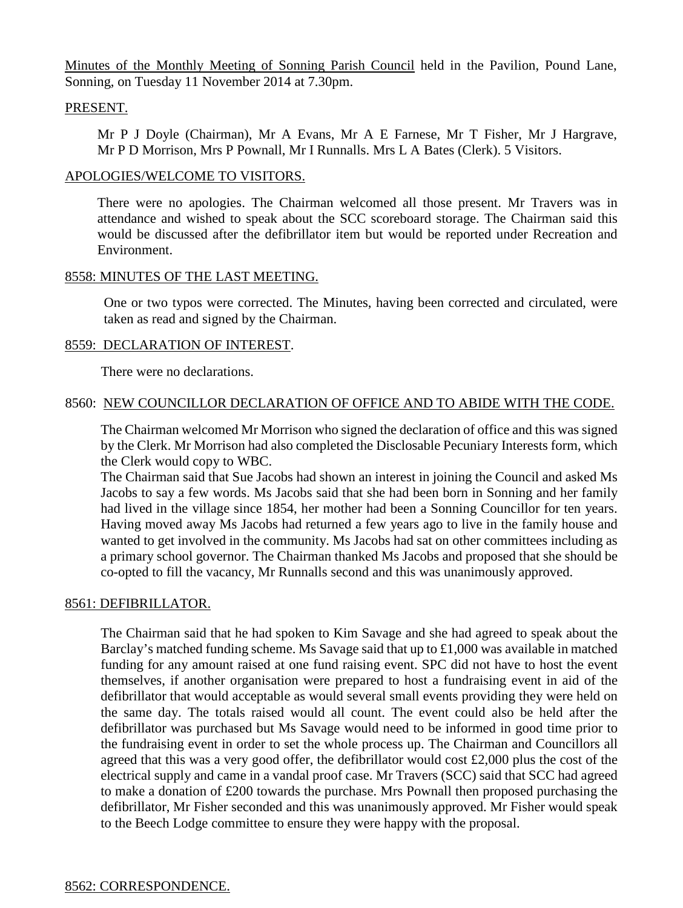Minutes of the Monthly Meeting of Sonning Parish Council held in the Pavilion, Pound Lane, Sonning, on Tuesday 11 November 2014 at 7.30pm.

### PRESENT.

Mr P J Doyle (Chairman), Mr A Evans, Mr A E Farnese, Mr T Fisher, Mr J Hargrave, Mr P D Morrison, Mrs P Pownall, Mr I Runnalls. Mrs L A Bates (Clerk). 5 Visitors.

### APOLOGIES/WELCOME TO VISITORS.

There were no apologies. The Chairman welcomed all those present. Mr Travers was in attendance and wished to speak about the SCC scoreboard storage. The Chairman said this would be discussed after the defibrillator item but would be reported under Recreation and Environment.

### 8558: MINUTES OF THE LAST MEETING.

One or two typos were corrected. The Minutes, having been corrected and circulated, were taken as read and signed by the Chairman.

### 8559: DECLARATION OF INTEREST.

There were no declarations.

# 8560: NEW COUNCILLOR DECLARATION OF OFFICE AND TO ABIDE WITH THE CODE.

The Chairman welcomed Mr Morrison who signed the declaration of office and this was signed by the Clerk. Mr Morrison had also completed the Disclosable Pecuniary Interests form, which the Clerk would copy to WBC.

The Chairman said that Sue Jacobs had shown an interest in joining the Council and asked Ms Jacobs to say a few words. Ms Jacobs said that she had been born in Sonning and her family had lived in the village since 1854, her mother had been a Sonning Councillor for ten years. Having moved away Ms Jacobs had returned a few years ago to live in the family house and wanted to get involved in the community. Ms Jacobs had sat on other committees including as a primary school governor. The Chairman thanked Ms Jacobs and proposed that she should be co-opted to fill the vacancy, Mr Runnalls second and this was unanimously approved.

# 8561: DEFIBRILLATOR.

The Chairman said that he had spoken to Kim Savage and she had agreed to speak about the Barclay's matched funding scheme. Ms Savage said that up to £1,000 was available in matched funding for any amount raised at one fund raising event. SPC did not have to host the event themselves, if another organisation were prepared to host a fundraising event in aid of the defibrillator that would acceptable as would several small events providing they were held on the same day. The totals raised would all count. The event could also be held after the defibrillator was purchased but Ms Savage would need to be informed in good time prior to the fundraising event in order to set the whole process up. The Chairman and Councillors all agreed that this was a very good offer, the defibrillator would cost £2,000 plus the cost of the electrical supply and came in a vandal proof case. Mr Travers (SCC) said that SCC had agreed to make a donation of £200 towards the purchase. Mrs Pownall then proposed purchasing the defibrillator, Mr Fisher seconded and this was unanimously approved. Mr Fisher would speak to the Beech Lodge committee to ensure they were happy with the proposal.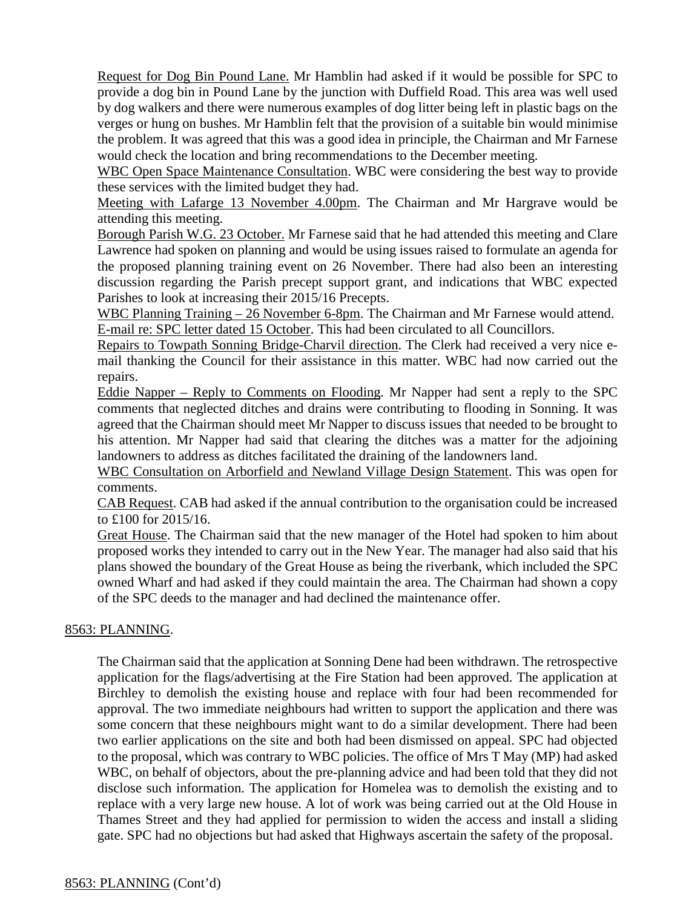Request for Dog Bin Pound Lane. Mr Hamblin had asked if it would be possible for SPC to provide a dog bin in Pound Lane by the junction with Duffield Road. This area was well used by dog walkers and there were numerous examples of dog litter being left in plastic bags on the verges or hung on bushes. Mr Hamblin felt that the provision of a suitable bin would minimise the problem. It was agreed that this was a good idea in principle, the Chairman and Mr Farnese would check the location and bring recommendations to the December meeting.

WBC Open Space Maintenance Consultation. WBC were considering the best way to provide these services with the limited budget they had.

Meeting with Lafarge 13 November 4.00pm. The Chairman and Mr Hargrave would be attending this meeting.

Borough Parish W.G. 23 October. Mr Farnese said that he had attended this meeting and Clare Lawrence had spoken on planning and would be using issues raised to formulate an agenda for the proposed planning training event on 26 November. There had also been an interesting discussion regarding the Parish precept support grant, and indications that WBC expected Parishes to look at increasing their 2015/16 Precepts.

WBC Planning Training – 26 November 6-8pm. The Chairman and Mr Farnese would attend. E-mail re: SPC letter dated 15 October. This had been circulated to all Councillors.

Repairs to Towpath Sonning Bridge-Charvil direction. The Clerk had received a very nice email thanking the Council for their assistance in this matter. WBC had now carried out the repairs.

Eddie Napper – Reply to Comments on Flooding. Mr Napper had sent a reply to the SPC comments that neglected ditches and drains were contributing to flooding in Sonning. It was agreed that the Chairman should meet Mr Napper to discuss issues that needed to be brought to his attention. Mr Napper had said that clearing the ditches was a matter for the adjoining landowners to address as ditches facilitated the draining of the landowners land.

WBC Consultation on Arborfield and Newland Village Design Statement. This was open for comments.

CAB Request. CAB had asked if the annual contribution to the organisation could be increased to £100 for 2015/16.

Great House. The Chairman said that the new manager of the Hotel had spoken to him about proposed works they intended to carry out in the New Year. The manager had also said that his plans showed the boundary of the Great House as being the riverbank, which included the SPC owned Wharf and had asked if they could maintain the area. The Chairman had shown a copy of the SPC deeds to the manager and had declined the maintenance offer.

# 8563: PLANNING.

The Chairman said that the application at Sonning Dene had been withdrawn. The retrospective application for the flags/advertising at the Fire Station had been approved. The application at Birchley to demolish the existing house and replace with four had been recommended for approval. The two immediate neighbours had written to support the application and there was some concern that these neighbours might want to do a similar development. There had been two earlier applications on the site and both had been dismissed on appeal. SPC had objected to the proposal, which was contrary to WBC policies. The office of Mrs T May (MP) had asked WBC, on behalf of objectors, about the pre-planning advice and had been told that they did not disclose such information. The application for Homelea was to demolish the existing and to replace with a very large new house. A lot of work was being carried out at the Old House in Thames Street and they had applied for permission to widen the access and install a sliding gate. SPC had no objections but had asked that Highways ascertain the safety of the proposal.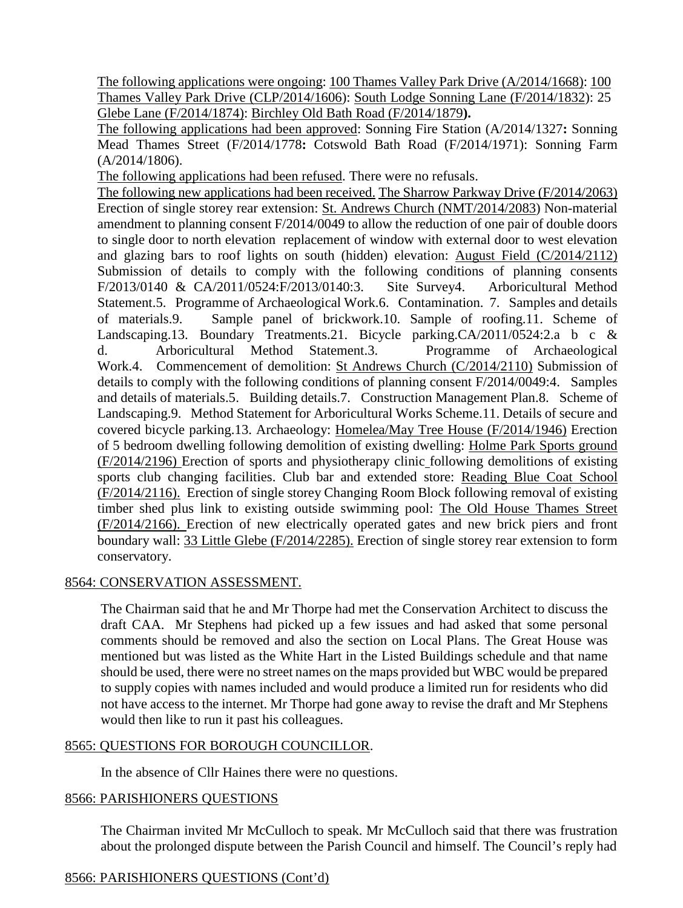The following applications were ongoing: 100 Thames Valley Park Drive (A/2014/1668): 100 Thames Valley Park Drive (CLP/2014/1606): South Lodge Sonning Lane (F/2014/1832): 25 Glebe Lane (F/2014/1874): Birchley Old Bath Road (F/2014/1879**).**

The following applications had been approved: Sonning Fire Station (A/2014/1327**:** Sonning Mead Thames Street (F/2014/1778**:** Cotswold Bath Road (F/2014/1971): Sonning Farm (A/2014/1806).

The following applications had been refused. There were no refusals.

The following new applications had been received. The Sharrow Parkway Drive (F/2014/2063) Erection of single storey rear extension: St. Andrews Church (NMT/2014/2083) Non-material amendment to planning consent F/2014/0049 to allow the reduction of one pair of double doors to single door to north elevation replacement of window with external door to west elevation and glazing bars to roof lights on south (hidden) elevation: August Field (C/2014/2112) Submission of details to comply with the following conditions of planning consents F/2013/0140 & CA/2011/0524:F/2013/0140:3. Site Survey4. Arboricultural Method Statement.5. Programme of Archaeological Work.6. Contamination. 7. Samples and details of materials.9. Sample panel of brickwork.10. Sample of roofing.11. Scheme of Landscaping.13. Boundary Treatments.21. Bicycle parking.CA/2011/0524:2.a b c & d. Arboricultural Method Statement.3. Programme of Archaeological Work.4. Commencement of demolition: St Andrews Church (C/2014/2110) Submission of details to comply with the following conditions of planning consent F/2014/0049:4. Samples and details of materials.5. Building details.7. Construction Management Plan.8. Scheme of Landscaping.9. Method Statement for Arboricultural Works Scheme.11. Details of secure and covered bicycle parking.13. Archaeology: Homelea/May Tree House (F/2014/1946) Erection of 5 bedroom dwelling following demolition of existing dwelling: Holme Park Sports ground (F/2014/2196) Erection of sports and physiotherapy clinic following demolitions of existing sports club changing facilities. Club bar and extended store: Reading Blue Coat School (F/2014/2116). Erection of single storey Changing Room Block following removal of existing timber shed plus link to existing outside swimming pool: The Old House Thames Street (F/2014/2166). Erection of new electrically operated gates and new brick piers and front boundary wall: 33 Little Glebe (F/2014/2285). Erection of single storey rear extension to form conservatory.

# 8564: CONSERVATION ASSESSMENT.

The Chairman said that he and Mr Thorpe had met the Conservation Architect to discuss the draft CAA. Mr Stephens had picked up a few issues and had asked that some personal comments should be removed and also the section on Local Plans. The Great House was mentioned but was listed as the White Hart in the Listed Buildings schedule and that name should be used, there were no street names on the maps provided but WBC would be prepared to supply copies with names included and would produce a limited run for residents who did not have access to the internet. Mr Thorpe had gone away to revise the draft and Mr Stephens would then like to run it past his colleagues.

# 8565: QUESTIONS FOR BOROUGH COUNCILLOR.

In the absence of Cllr Haines there were no questions.

# 8566: PARISHIONERS QUESTIONS

The Chairman invited Mr McCulloch to speak. Mr McCulloch said that there was frustration about the prolonged dispute between the Parish Council and himself. The Council's reply had

# 8566: PARISHIONERS QUESTIONS (Cont'd)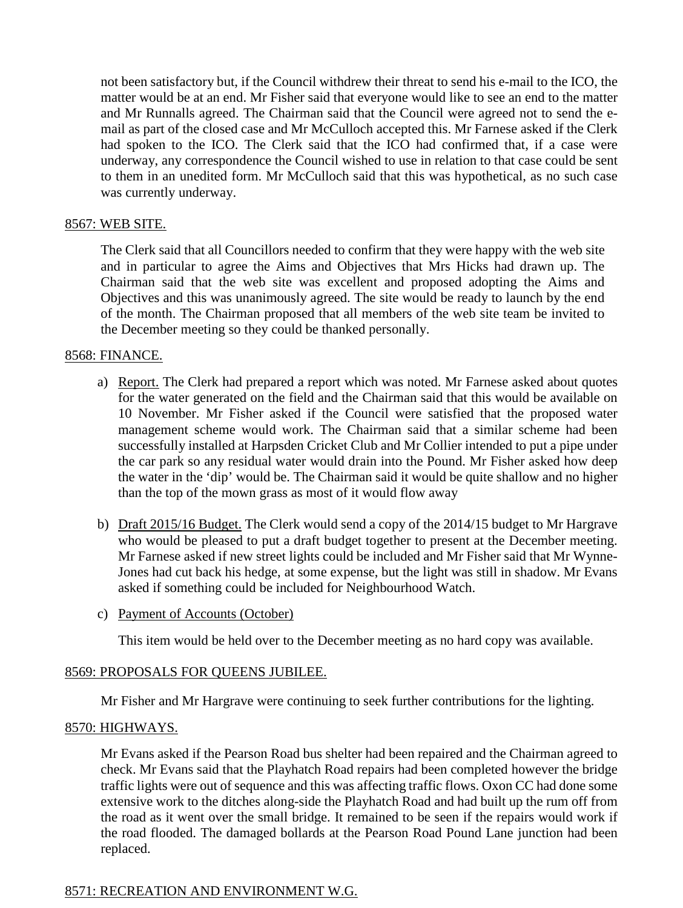not been satisfactory but, if the Council withdrew their threat to send his e-mail to the ICO, the matter would be at an end. Mr Fisher said that everyone would like to see an end to the matter and Mr Runnalls agreed. The Chairman said that the Council were agreed not to send the email as part of the closed case and Mr McCulloch accepted this. Mr Farnese asked if the Clerk had spoken to the ICO. The Clerk said that the ICO had confirmed that, if a case were underway, any correspondence the Council wished to use in relation to that case could be sent to them in an unedited form. Mr McCulloch said that this was hypothetical, as no such case was currently underway.

### 8567: WEB SITE.

The Clerk said that all Councillors needed to confirm that they were happy with the web site and in particular to agree the Aims and Objectives that Mrs Hicks had drawn up. The Chairman said that the web site was excellent and proposed adopting the Aims and Objectives and this was unanimously agreed. The site would be ready to launch by the end of the month. The Chairman proposed that all members of the web site team be invited to the December meeting so they could be thanked personally.

### 8568: FINANCE.

- a) Report. The Clerk had prepared a report which was noted. Mr Farnese asked about quotes for the water generated on the field and the Chairman said that this would be available on 10 November. Mr Fisher asked if the Council were satisfied that the proposed water management scheme would work. The Chairman said that a similar scheme had been successfully installed at Harpsden Cricket Club and Mr Collier intended to put a pipe under the car park so any residual water would drain into the Pound. Mr Fisher asked how deep the water in the 'dip' would be. The Chairman said it would be quite shallow and no higher than the top of the mown grass as most of it would flow away
- b) Draft 2015/16 Budget. The Clerk would send a copy of the 2014/15 budget to Mr Hargrave who would be pleased to put a draft budget together to present at the December meeting. Mr Farnese asked if new street lights could be included and Mr Fisher said that Mr Wynne-Jones had cut back his hedge, at some expense, but the light was still in shadow. Mr Evans asked if something could be included for Neighbourhood Watch.
- c) Payment of Accounts (October)

This item would be held over to the December meeting as no hard copy was available.

# 8569: PROPOSALS FOR QUEENS JUBILEE.

Mr Fisher and Mr Hargrave were continuing to seek further contributions for the lighting.

#### 8570: HIGHWAYS.

Mr Evans asked if the Pearson Road bus shelter had been repaired and the Chairman agreed to check. Mr Evans said that the Playhatch Road repairs had been completed however the bridge traffic lights were out of sequence and this was affecting traffic flows. Oxon CC had done some extensive work to the ditches along-side the Playhatch Road and had built up the rum off from the road as it went over the small bridge. It remained to be seen if the repairs would work if the road flooded. The damaged bollards at the Pearson Road Pound Lane junction had been replaced.

#### 8571: RECREATION AND ENVIRONMENT W.G.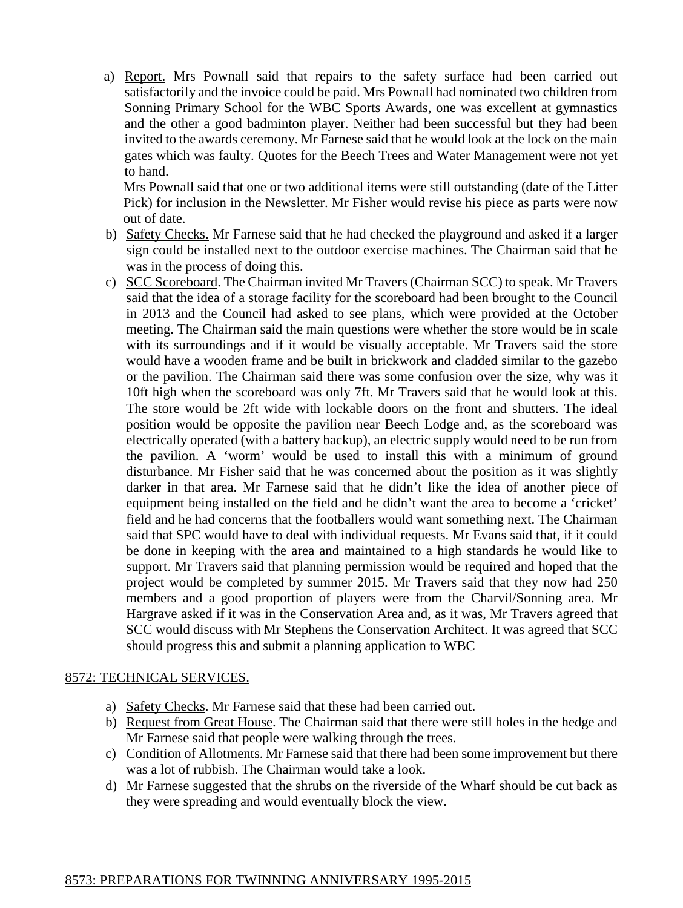a) Report. Mrs Pownall said that repairs to the safety surface had been carried out satisfactorily and the invoice could be paid. Mrs Pownall had nominated two children from Sonning Primary School for the WBC Sports Awards, one was excellent at gymnastics and the other a good badminton player. Neither had been successful but they had been invited to the awards ceremony. Mr Farnese said that he would look at the lock on the main gates which was faulty. Quotes for the Beech Trees and Water Management were not yet to hand.

Mrs Pownall said that one or two additional items were still outstanding (date of the Litter Pick) for inclusion in the Newsletter. Mr Fisher would revise his piece as parts were now out of date.

- b) Safety Checks. Mr Farnese said that he had checked the playground and asked if a larger sign could be installed next to the outdoor exercise machines. The Chairman said that he was in the process of doing this.
- c) SCC Scoreboard. The Chairman invited Mr Travers (Chairman SCC) to speak. Mr Travers said that the idea of a storage facility for the scoreboard had been brought to the Council in 2013 and the Council had asked to see plans, which were provided at the October meeting. The Chairman said the main questions were whether the store would be in scale with its surroundings and if it would be visually acceptable. Mr Travers said the store would have a wooden frame and be built in brickwork and cladded similar to the gazebo or the pavilion. The Chairman said there was some confusion over the size, why was it 10ft high when the scoreboard was only 7ft. Mr Travers said that he would look at this. The store would be 2ft wide with lockable doors on the front and shutters. The ideal position would be opposite the pavilion near Beech Lodge and, as the scoreboard was electrically operated (with a battery backup), an electric supply would need to be run from the pavilion. A 'worm' would be used to install this with a minimum of ground disturbance. Mr Fisher said that he was concerned about the position as it was slightly darker in that area. Mr Farnese said that he didn't like the idea of another piece of equipment being installed on the field and he didn't want the area to become a 'cricket' field and he had concerns that the footballers would want something next. The Chairman said that SPC would have to deal with individual requests. Mr Evans said that, if it could be done in keeping with the area and maintained to a high standards he would like to support. Mr Travers said that planning permission would be required and hoped that the project would be completed by summer 2015. Mr Travers said that they now had 250 members and a good proportion of players were from the Charvil/Sonning area. Mr Hargrave asked if it was in the Conservation Area and, as it was, Mr Travers agreed that SCC would discuss with Mr Stephens the Conservation Architect. It was agreed that SCC should progress this and submit a planning application to WBC

# 8572: TECHNICAL SERVICES.

- a) Safety Checks. Mr Farnese said that these had been carried out.
- b) Request from Great House. The Chairman said that there were still holes in the hedge and Mr Farnese said that people were walking through the trees.
- c) Condition of Allotments. Mr Farnese said that there had been some improvement but there was a lot of rubbish. The Chairman would take a look.
- d) Mr Farnese suggested that the shrubs on the riverside of the Wharf should be cut back as they were spreading and would eventually block the view.